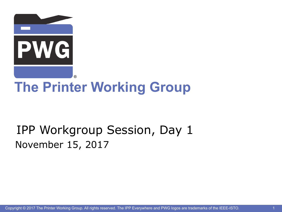

### IPP Workgroup Session, Day 1 November 15, 2017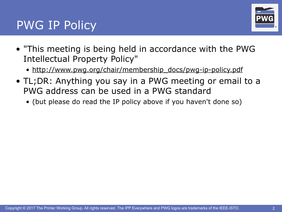### PWG IP Policy



- "This meeting is being held in accordance with the PWG Intellectual Property Policy"
	- [http://www.pwg.org/chair/membership\\_docs/pwg-ip-policy.pdf](http://www.pwg.org/chair/membership_docs/pwg-ip-policy.pdf)
- TL;DR: Anything you say in a PWG meeting or email to a PWG address can be used in a PWG standard
	- (but please do read the IP policy above if you haven't done so)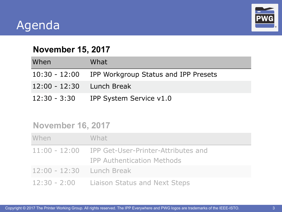### Agenda



#### **November 15, 2017**

| When                      | What                                               |
|---------------------------|----------------------------------------------------|
|                           | 10:30 - 12:00 IPP Workgroup Status and IPP Presets |
| 12:00 - 12:30 Lunch Break |                                                    |
|                           | 12:30 - 3:30 IPP System Service v1.0               |

#### **November 16, 2017**

| When                      | What                                                                                   |
|---------------------------|----------------------------------------------------------------------------------------|
|                           | 11:00 - 12:00 IPP Get-User-Printer-Attributes and<br><b>IPP Authentication Methods</b> |
| 12:00 - 12:30 Lunch Break |                                                                                        |
|                           | 12:30 - 2:00 Liaison Status and Next Steps                                             |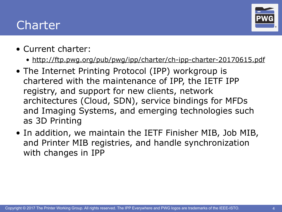### Charter



- Current charter:
	- <http://ftp.pwg.org/pub/pwg/ipp/charter/ch-ipp-charter-20170615.pdf>
- The Internet Printing Protocol (IPP) workgroup is chartered with the maintenance of IPP, the IETF IPP registry, and support for new clients, network architectures (Cloud, SDN), service bindings for MFDs and Imaging Systems, and emerging technologies such as 3D Printing
- In addition, we maintain the IETF Finisher MIB, Job MIB, and Printer MIB registries, and handle synchronization with changes in IPP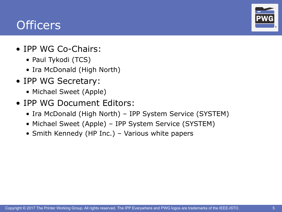### **Officers**

®

- IPP WG Co-Chairs:
	- Paul Tykodi (TCS)
	- Ira McDonald (High North)
- IPP WG Secretary:
	- Michael Sweet (Apple)
- IPP WG Document Editors:
	- Ira McDonald (High North) IPP System Service (SYSTEM)
	- Michael Sweet (Apple) IPP System Service (SYSTEM)
	- Smith Kennedy (HP Inc.) Various white papers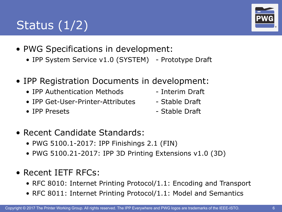## Status  $(1/2)$

- PWG Specifications in development:
	- IPP System Service v1.0 (SYSTEM) Prototype Draft
- IPP Registration Documents in development:
	- IPP Authentication Methods Interim Draft
	- IPP Get-User-Printer-Attributes Stable Draft
	-
- 
- 
- IPP Presets Stable Draft
- Recent Candidate Standards:
	- PWG 5100.1-2017: IPP Finishings 2.1 (FIN)
	- PWG 5100.21-2017: IPP 3D Printing Extensions v1.0 (3D)
- Recent IETF RFCs:
	- RFC 8010: Internet Printing Protocol/1.1: Encoding and Transport
	- RFC 8011: Internet Printing Protocol/1.1: Model and Semantics



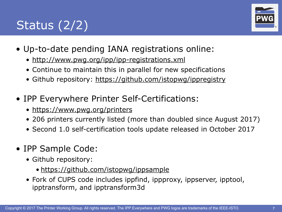# Status  $(2/2)$



- Up-to-date pending IANA registrations online:
	- <http://www.pwg.org/ipp/ipp-registrations.xml>
	- Continue to maintain this in parallel for new specifications
	- Github repository:<https://github.com/istopwg/ippregistry>
- IPP Everywhere Printer Self-Certifications:
	- <https://www.pwg.org/printers>
	- 206 printers currently listed (more than doubled since August 2017)
	- Second 1.0 self-certification tools update released in October 2017
- IPP Sample Code:
	- Github repository:
		- <https://github.com/istopwg/ippsample>
	- Fork of CUPS code includes ippfind, ippproxy, ippserver, ipptool, ipptransform, and ipptransform3d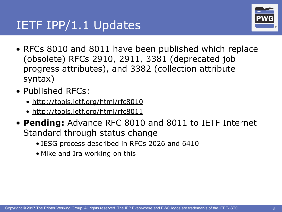### IETF IPP/1.1 Updates



- RFCs 8010 and 8011 have been published which replace (obsolete) RFCs 2910, 2911, 3381 (deprecated job progress attributes), and 3382 (collection attribute syntax)
- Published RFCs:
	- <http://tools.ietf.org/html/rfc8010>
	- <http://tools.ietf.org/html/rfc8011>
- **Pending:** Advance RFC 8010 and 8011 to IETF Internet Standard through status change
	- IESG process described in RFCs 2026 and 6410
	- Mike and Ira working on this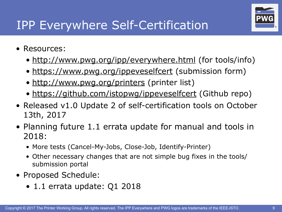

## IPP Everywhere Self-Certification

- Resources:
	- [http://www.pwg.org/ipp/everywhere.html](http://www.pwg.org/ipp/) (for tools/info)
	- <https://www.pwg.org/ippeveselfcert> (submission form)
	- <http://www.pwg.org/printers> (printer list)
	- <https://github.com/istopwg/ippeveselfcert> (Github repo)
- Released v1.0 Update 2 of self-certification tools on October 13th, 2017
- Planning future 1.1 errata update for manual and tools in 2018:
	- More tests (Cancel-My-Jobs, Close-Job, Identify-Printer)
	- Other necessary changes that are not simple bug fixes in the tools/ submission portal
- Proposed Schedule:
	- 1.1 errata update: Q1 2018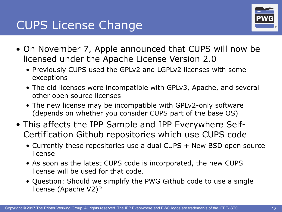### **CUPS License Change**



- On November 7, Apple announced that CUPS will now be licensed under the Apache License Version 2.0
	- Previously CUPS used the GPLv2 and LGPLv2 licenses with some exceptions
	- The old licenses were incompatible with GPLv3, Apache, and several other open source licenses
	- The new license may be incompatible with GPLv2-only software (depends on whether you consider CUPS part of the base OS)
- This affects the IPP Sample and IPP Everywhere Self-Certification Github repositories which use CUPS code
	- Currently these repositories use a dual CUPS + New BSD open source license
	- As soon as the latest CUPS code is incorporated, the new CUPS license will be used for that code.
	- Question: Should we simplify the PWG Github code to use a single license (Apache V2)?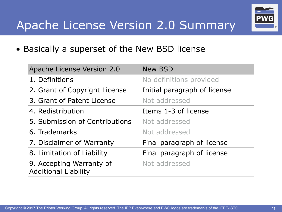# Apache License Version 2.0 Summary Pw



• Basically a superset of the New BSD license

| Apache License Version 2.0                              | <b>New BSD</b>               |  |
|---------------------------------------------------------|------------------------------|--|
| 1. Definitions                                          | No definitions provided      |  |
| 2. Grant of Copyright License                           | Initial paragraph of license |  |
| 3. Grant of Patent License                              | Not addressed                |  |
| 4. Redistribution                                       | Items 1-3 of license         |  |
| 5. Submission of Contributions                          | Not addressed                |  |
| 6. Trademarks                                           | Not addressed                |  |
| 7. Disclaimer of Warranty                               | Final paragraph of license   |  |
| 8. Limitation of Liability                              | Final paragraph of license   |  |
| 9. Accepting Warranty of<br><b>Additional Liability</b> | Not addressed                |  |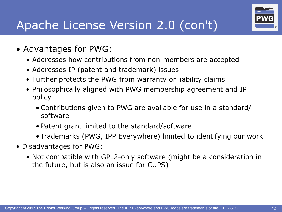## Apache License Version 2.0 (con't)

- Advantages for PWG:
	- Addresses how contributions from non-members are accepted
	- Addresses IP (patent and trademark) issues
	- Further protects the PWG from warranty or liability claims
	- Philosophically aligned with PWG membership agreement and IP policy
		- Contributions given to PWG are available for use in a standard/ software
		- Patent grant limited to the standard/software
		- Trademarks (PWG, IPP Everywhere) limited to identifying our work
- Disadvantages for PWG:
	- Not compatible with GPL2-only software (might be a consideration in the future, but is also an issue for CUPS)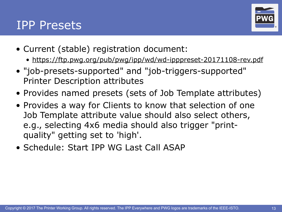#### **IPP Presets**



- Current (stable) registration document:
	- <https://ftp.pwg.org/pub/pwg/ipp/wd/wd-ipppreset-20171108-rev.pdf>
- "job-presets-supported" and "job-triggers-supported" Printer Description attributes
- Provides named presets (sets of Job Template attributes)
- Provides a way for Clients to know that selection of one Job Template attribute value should also select others, e.g., selecting 4x6 media should also trigger "printquality" getting set to 'high'.
- Schedule: Start IPP WG Last Call ASAP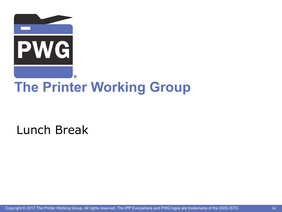

Lunch Break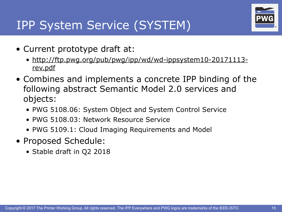# IPP System Service (SYSTEM)



- Current prototype draft at:
	- [http://ftp.pwg.org/pub/pwg/ipp/wd/wd-ippsystem10-20171113](http://ftp.pwg.org/pub/pwg/ipp/wd/wd-ippsystem10-20171113-rev.pdf/pub/pwg/ipp/wd/wd-ippsystem10-20170910-rev.pdf) [rev.pdf](http://ftp.pwg.org/pub/pwg/ipp/wd/wd-ippsystem10-20171113-rev.pdf/pub/pwg/ipp/wd/wd-ippsystem10-20170910-rev.pdf)
- Combines and implements a concrete IPP binding of the following abstract Semantic Model 2.0 services and objects:
	- PWG 5108.06: System Object and System Control Service
	- PWG 5108.03: Network Resource Service
	- PWG 5109.1: Cloud Imaging Requirements and Model
- Proposed Schedule:
	- Stable draft in Q2 2018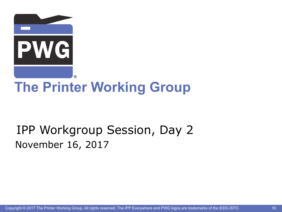

## IPP Workgroup Session, Day 2 November 16, 2017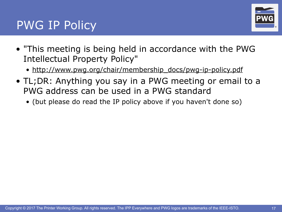### PWG IP Policy



- "This meeting is being held in accordance with the PWG Intellectual Property Policy"
	- [http://www.pwg.org/chair/membership\\_docs/pwg-ip-policy.pdf](http://www.pwg.org/chair/membership_docs/pwg-ip-policy.pdf)
- TL;DR: Anything you say in a PWG meeting or email to a PWG address can be used in a PWG standard
	- (but please do read the IP policy above if you haven't done so)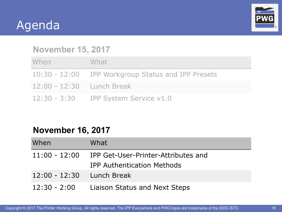



#### **November 15, 2017**

| When                        | What                                               |
|-----------------------------|----------------------------------------------------|
|                             | 10:30 - 12:00 IPP Workgroup Status and IPP Presets |
| $12:00 - 12:30$ Lunch Break |                                                    |
|                             | 12:30 - 3:30 IPP System Service v1.0               |

#### **November 16, 2017**

| When                      | What                                              |
|---------------------------|---------------------------------------------------|
|                           | 11:00 - 12:00 IPP Get-User-Printer-Attributes and |
|                           | <b>IPP Authentication Methods</b>                 |
| 12:00 - 12:30 Lunch Break |                                                   |
|                           | 12:30 - 2:00 Liaison Status and Next Steps        |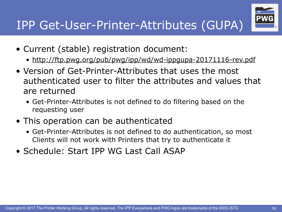

- Current (stable) registration document:
	- <http://ftp.pwg.org/pub/pwg/ipp/wd/wd-ippgupa-20171116-rev.pdf>
- Version of Get-Printer-Attributes that uses the most authenticated user to filter the attributes and values that are returned
	- Get-Printer-Attributes is not defined to do filtering based on the requesting user
- This operation can be authenticated
	- Get-Printer-Attributes is not defined to do authentication, so most Clients will not work with Printers that try to authenticate it
- Schedule: Start IPP WG Last Call ASAP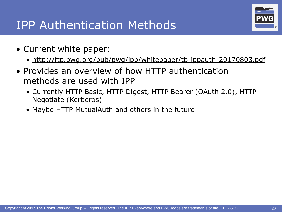### **IPP Authentication Methods**

- Current white paper:
	- <http://ftp.pwg.org/pub/pwg/ipp/whitepaper/tb-ippauth-20170803.pdf>
- Provides an overview of how HTTP authentication methods are used with IPP
	- Currently HTTP Basic, HTTP Digest, HTTP Bearer (OAuth 2.0), HTTP Negotiate (Kerberos)
	- Maybe HTTP MutualAuth and others in the future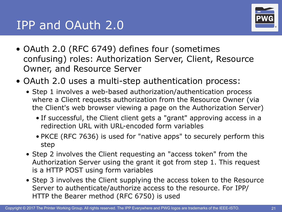

- OAuth 2.0 (RFC 6749) defines four (sometimes confusing) roles: Authorization Server, Client, Resource Owner, and Resource Server
- OAuth 2.0 uses a multi-step authentication process:
	- Step 1 involves a web-based authorization/authentication process where a Client requests authorization from the Resource Owner (via the Client's web browser viewing a page on the Authorization Server)
		- If successful, the Client client gets a "grant" approving access in a redirection URL with URL-encoded form variables
		- PKCE (RFC 7636) is used for "native apps" to securely perform this step
	- Step 2 involves the Client requesting an "access token" from the Authorization Server using the grant it got from step 1. This request is a HTTP POST using form variables
	- Step 3 involves the Client supplying the access token to the Resource Server to authenticate/authorize access to the resource. For IPP/ HTTP the Bearer method (RFC 6750) is used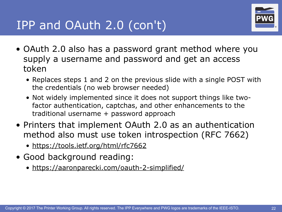

- OAuth 2.0 also has a password grant method where you supply a username and password and get an access token
	- Replaces steps 1 and 2 on the previous slide with a single POST with the credentials (no web browser needed)
	- Not widely implemented since it does not support things like twofactor authentication, captchas, and other enhancements to the traditional username + password approach
- Printers that implement OAuth 2.0 as an authentication method also must use token introspection (RFC 7662)
	- <https://tools.ietf.org/html/rfc7662>
- Good background reading:
	- <https://aaronparecki.com/oauth-2-simplified/>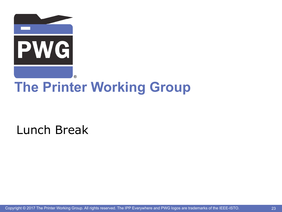

Lunch Break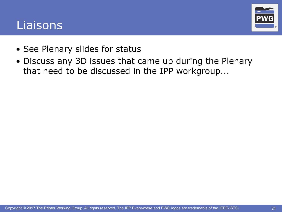#### Liaisons



- See Plenary slides for status
- Discuss any 3D issues that came up during the Plenary that need to be discussed in the IPP workgroup...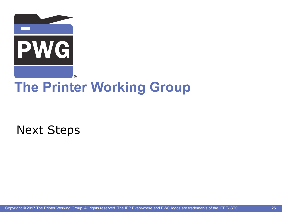

Next Steps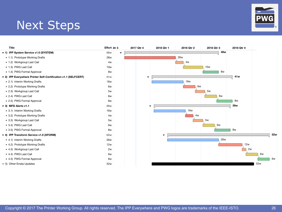#### **Next Steps**

| WG<br>$\mathbf{P}$ |    |
|--------------------|----|
|                    | R. |

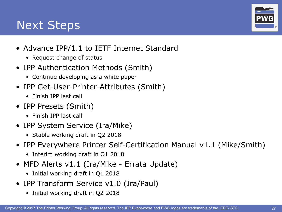### **Next Steps**

- Advance IPP/1.1 to IETF Internet Standard
	- Request change of status
- IPP Authentication Methods (Smith)
	- Continue developing as a white paper
- IPP Get-User-Printer-Attributes (Smith)
	- Finish IPP last call
- IPP Presets (Smith)
	- Finish IPP last call
- IPP System Service (Ira/Mike)
	- Stable working draft in Q2 2018
- IPP Everywhere Printer Self-Certification Manual v1.1 (Mike/Smith)
	- Interim working draft in Q1 2018
- MFD Alerts v1.1 (Ira/Mike Errata Update)
	- Initial working draft in Q1 2018
- IPP Transform Service v1.0 (Ira/Paul)
	- Initial working draft in Q2 2018